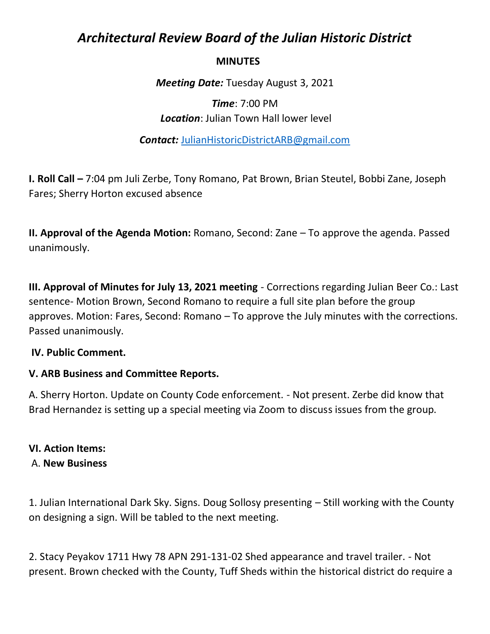# *Architectural Review Board of the Julian Historic District*

### **MINUTES**

*Meeting Date:* Tuesday August 3, 2021

## *Time*: 7:00 PM *Location*: Julian Town Hall lower level

*Contact:* JulianHistoricDistrictARB@gmail.com

**I. Roll Call –** 7:04 pm Juli Zerbe, Tony Romano, Pat Brown, Brian Steutel, Bobbi Zane, Joseph Fares; Sherry Horton excused absence

**II. Approval of the Agenda Motion:** Romano, Second: Zane – To approve the agenda. Passed unanimously.

**III. Approval of Minutes for July 13, 2021 meeting** - Corrections regarding Julian Beer Co.: Last sentence- Motion Brown, Second Romano to require a full site plan before the group approves. Motion: Fares, Second: Romano – To approve the July minutes with the corrections. Passed unanimously.

#### **IV. Public Comment.**

#### **V. ARB Business and Committee Reports.**

A. Sherry Horton. Update on County Code enforcement. - Not present. Zerbe did know that Brad Hernandez is setting up a special meeting via Zoom to discuss issues from the group.

#### **VI. Action Items:**

#### A. **New Business**

1. Julian International Dark Sky. Signs. Doug Sollosy presenting – Still working with the County on designing a sign. Will be tabled to the next meeting.

2. Stacy Peyakov 1711 Hwy 78 APN 291-131-02 Shed appearance and travel trailer. - Not present. Brown checked with the County, Tuff Sheds within the historical district do require a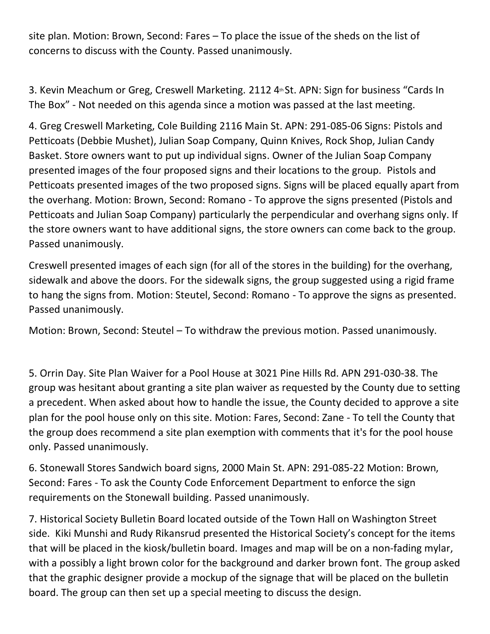site plan. Motion: Brown, Second: Fares – To place the issue of the sheds on the list of concerns to discuss with the County. Passed unanimously.

3. Kevin Meachum or Greg, Creswell Marketing. 2112 4<sup>th</sup> St. APN: Sign for business "Cards In The Box" - Not needed on this agenda since a motion was passed at the last meeting.

4. Greg Creswell Marketing, Cole Building 2116 Main St. APN: 291-085-06 Signs: Pistols and Petticoats (Debbie Mushet), Julian Soap Company, Quinn Knives, Rock Shop, Julian Candy Basket. Store owners want to put up individual signs. Owner of the Julian Soap Company presented images of the four proposed signs and their locations to the group. Pistols and Petticoats presented images of the two proposed signs. Signs will be placed equally apart from the overhang. Motion: Brown, Second: Romano - To approve the signs presented (Pistols and Petticoats and Julian Soap Company) particularly the perpendicular and overhang signs only. If the store owners want to have additional signs, the store owners can come back to the group. Passed unanimously.

Creswell presented images of each sign (for all of the stores in the building) for the overhang, sidewalk and above the doors. For the sidewalk signs, the group suggested using a rigid frame to hang the signs from. Motion: Steutel, Second: Romano - To approve the signs as presented. Passed unanimously.

Motion: Brown, Second: Steutel – To withdraw the previous motion. Passed unanimously.

5. Orrin Day. Site Plan Waiver for a Pool House at 3021 Pine Hills Rd. APN 291-030-38. The group was hesitant about granting a site plan waiver as requested by the County due to setting a precedent. When asked about how to handle the issue, the County decided to approve a site plan for the pool house only on this site. Motion: Fares, Second: Zane - To tell the County that the group does recommend a site plan exemption with comments that it's for the pool house only. Passed unanimously.

6. Stonewall Stores Sandwich board signs, 2000 Main St. APN: 291-085-22 Motion: Brown, Second: Fares - To ask the County Code Enforcement Department to enforce the sign requirements on the Stonewall building. Passed unanimously.

7. Historical Society Bulletin Board located outside of the Town Hall on Washington Street side. Kiki Munshi and Rudy Rikansrud presented the Historical Society's concept for the items that will be placed in the kiosk/bulletin board. Images and map will be on a non-fading mylar, with a possibly a light brown color for the background and darker brown font. The group asked that the graphic designer provide a mockup of the signage that will be placed on the bulletin board. The group can then set up a special meeting to discuss the design.